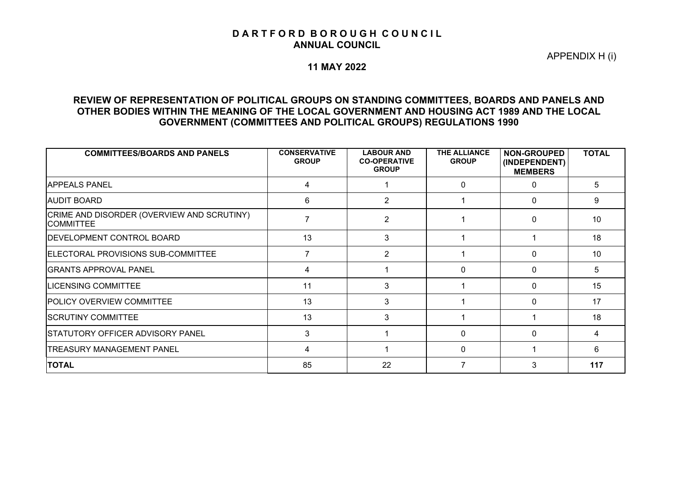#### D A R T F O R D B O R O U G H C O U N C I L **ANNUAL COUNCIL**

APPENDIX H (i)

#### **11 MAY 2022**

### **REVIEW OF REPRESENTATION OF POLITICAL GROUPS ON STANDING COMMITTEES, BOARDS AND PANELS AND OTHER BODIES WITHIN THE MEANING OF THE LOCAL GOVERNMENT AND HOUSING ACT 1989 AND THE LOCAL GOVERNMENT (COMMITTEES AND POLITICAL GROUPS) REGULATIONS 1990**

| <b>COMMITTEES/BOARDS AND PANELS</b>                            | <b>CONSERVATIVE</b><br><b>GROUP</b> | <b>LABOUR AND</b><br><b>CO-OPERATIVE</b><br><b>GROUP</b> | THE ALLIANCE<br><b>GROUP</b> | <b>NON-GROUPED</b><br>(INDEPENDENT)<br><b>MEMBERS</b> | <b>TOTAL</b> |
|----------------------------------------------------------------|-------------------------------------|----------------------------------------------------------|------------------------------|-------------------------------------------------------|--------------|
| <b>IAPPEALS PANEL</b>                                          | 4                                   |                                                          | $\Omega$                     | $\Omega$                                              | 5            |
| <b>AUDIT BOARD</b>                                             | 6                                   | 2                                                        |                              | $\Omega$                                              | 9            |
| CRIME AND DISORDER (OVERVIEW AND SCRUTINY)<br><b>COMMITTEE</b> |                                     | $\overline{2}$                                           |                              | $\Omega$                                              | 10           |
| <b>DEVELOPMENT CONTROL BOARD</b>                               | 13                                  | 3                                                        |                              |                                                       | 18           |
| ELECTORAL PROVISIONS SUB-COMMITTEE                             |                                     | 2                                                        |                              | $\Omega$                                              | 10           |
| <b>GRANTS APPROVAL PANEL</b>                                   | 4                                   |                                                          | $\Omega$                     | $\Omega$                                              | 5            |
| <b>LICENSING COMMITTEE</b>                                     | 11                                  | 3                                                        |                              | $\Omega$                                              | 15           |
| <b>POLICY OVERVIEW COMMITTEE</b>                               | 13                                  | 3                                                        |                              | $\Omega$                                              | 17           |
| <b>SCRUTINY COMMITTEE</b>                                      | 13                                  | 3                                                        |                              |                                                       | 18           |
| <b>STATUTORY OFFICER ADVISORY PANEL</b>                        | 3                                   |                                                          | $\Omega$                     | $\Omega$                                              | 4            |
| <b>TREASURY MANAGEMENT PANEL</b>                               |                                     |                                                          | $\Omega$                     |                                                       | 6            |
| <b>TOTAL</b>                                                   | 85                                  | 22                                                       |                              | 3                                                     | 117          |